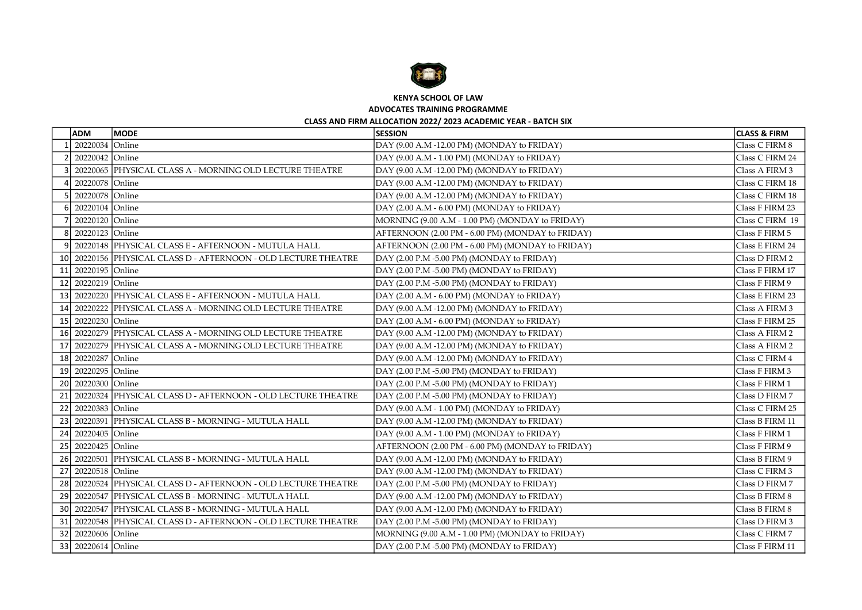

KENYA SCHOOL OF LAW

ADVOCATES TRAINING PROGRAMME

## CLASS AND FIRM ALLOCATION 2022/ 2023 ACADEMIC YEAR - BATCH SIX

|      | <b>ADM</b>            | <b>MODE</b>                                                    | <b>SESSION</b>                                   | <b>CLASS &amp; FIRM</b> |
|------|-----------------------|----------------------------------------------------------------|--------------------------------------------------|-------------------------|
|      | 20220034 Online       |                                                                | DAY (9.00 A.M -12.00 PM) (MONDAY to FRIDAY)      | Class C FIRM 8          |
|      | 20220042 Online       |                                                                | DAY (9.00 A.M - 1.00 PM) (MONDAY to FRIDAY)      | Class C FIRM 24         |
|      |                       | 20220065 PHYSICAL CLASS A - MORNING OLD LECTURE THEATRE        | DAY (9.00 A.M -12.00 PM) (MONDAY to FRIDAY)      | Class A FIRM 3          |
|      | 20220078 Online       |                                                                | DAY (9.00 A.M -12.00 PM) (MONDAY to FRIDAY)      | Class C FIRM 18         |
|      | 20220078 Online       |                                                                | DAY (9.00 A.M -12.00 PM) (MONDAY to FRIDAY)      | Class C FIRM 18         |
|      | 20220104 Online       |                                                                | DAY (2.00 A.M - 6.00 PM) (MONDAY to FRIDAY)      | Class F FIRM 23         |
|      | 20220120 Online       |                                                                | MORNING (9.00 A.M - 1.00 PM) (MONDAY to FRIDAY)  | Class C FIRM 19         |
|      | 20220123 Online<br>81 |                                                                | AFTERNOON (2.00 PM - 6.00 PM) (MONDAY to FRIDAY) | Class F FIRM 5          |
|      | 91                    | 20220148 PHYSICAL CLASS E - AFTERNOON - MUTULA HALL            | AFTERNOON (2.00 PM - 6.00 PM) (MONDAY to FRIDAY) | Class E FIRM 24         |
|      |                       | 10 20220156 PHYSICAL CLASS D - AFTERNOON - OLD LECTURE THEATRE | DAY (2.00 P.M -5.00 PM) (MONDAY to FRIDAY)       | Class D FIRM 2          |
|      | 11 20220195 Online    |                                                                | DAY (2.00 P.M -5.00 PM) (MONDAY to FRIDAY)       | Class F FIRM 17         |
|      | 12 20220219 Online    |                                                                | DAY (2.00 P.M -5.00 PM) (MONDAY to FRIDAY)       | Class F FIRM 9          |
|      |                       | 13 20220220 PHYSICAL CLASS E - AFTERNOON - MUTULA HALL         | DAY (2.00 A.M - 6.00 PM) (MONDAY to FRIDAY)      | Class E FIRM 23         |
|      |                       | 14 20220222 PHYSICAL CLASS A - MORNING OLD LECTURE THEATRE     | DAY (9.00 A.M -12.00 PM) (MONDAY to FRIDAY)      | Class A FIRM 3          |
|      | 15 20220230 Online    |                                                                | DAY (2.00 A.M - 6.00 PM) (MONDAY to FRIDAY)      | Class F FIRM 25         |
|      |                       | 16 20220279 PHYSICAL CLASS A - MORNING OLD LECTURE THEATRE     | DAY (9.00 A.M -12.00 PM) (MONDAY to FRIDAY)      | Class A FIRM 2          |
|      |                       | 17 20220279 PHYSICAL CLASS A - MORNING OLD LECTURE THEATRE     | DAY (9.00 A.M -12.00 PM) (MONDAY to FRIDAY)      | Class A FIRM 2          |
|      | 18 20220287 Online    |                                                                | DAY (9.00 A.M -12.00 PM) (MONDAY to FRIDAY)      | Class C FIRM 4          |
|      | 19 20220295 Online    |                                                                | DAY (2.00 P.M -5.00 PM) (MONDAY to FRIDAY)       | Class F FIRM 3          |
|      | 20 20220300 Online    |                                                                | DAY (2.00 P.M -5.00 PM) (MONDAY to FRIDAY)       | Class F FIRM 1          |
|      |                       | 21 20220324 PHYSICAL CLASS D - AFTERNOON - OLD LECTURE THEATRE | DAY (2.00 P.M -5.00 PM) (MONDAY to FRIDAY)       | Class D FIRM 7          |
|      | 22 20220383 Online    |                                                                | DAY (9.00 A.M - 1.00 PM) (MONDAY to FRIDAY)      | Class C FIRM 25         |
|      |                       | 23 20220391 PHYSICAL CLASS B - MORNING - MUTULA HALL           | DAY (9.00 A.M -12.00 PM) (MONDAY to FRIDAY)      | Class B FIRM 11         |
|      | 24 20220405 Online    |                                                                | DAY (9.00 A.M - 1.00 PM) (MONDAY to FRIDAY)      | Class F FIRM 1          |
|      | 25 20220425 Online    |                                                                | AFTERNOON (2.00 PM - 6.00 PM) (MONDAY to FRIDAY) | Class F FIRM 9          |
| 26 I |                       | 20220501 PHYSICAL CLASS B - MORNING - MUTULA HALL              | DAY (9.00 A.M -12.00 PM) (MONDAY to FRIDAY)      | Class B FIRM 9          |
|      | 27 20220518 Online    |                                                                | DAY (9.00 A.M -12.00 PM) (MONDAY to FRIDAY)      | Class C FIRM 3          |
|      |                       | 28 20220524 PHYSICAL CLASS D - AFTERNOON - OLD LECTURE THEATRE | DAY (2.00 P.M -5.00 PM) (MONDAY to FRIDAY)       | Class D FIRM 7          |
|      |                       | 29 20220547 PHYSICAL CLASS B - MORNING - MUTULA HALL           | DAY (9.00 A.M -12.00 PM) (MONDAY to FRIDAY)      | Class B FIRM 8          |
|      |                       | 30 20220547 PHYSICAL CLASS B - MORNING - MUTULA HALL           | DAY (9.00 A.M -12.00 PM) (MONDAY to FRIDAY)      | Class B FIRM 8          |
|      |                       | 31 20220548 PHYSICAL CLASS D - AFTERNOON - OLD LECTURE THEATRE | DAY (2.00 P.M -5.00 PM) (MONDAY to FRIDAY)       | Class D FIRM 3          |
|      | 32 20220606 Online    |                                                                | MORNING (9.00 A.M - 1.00 PM) (MONDAY to FRIDAY)  | Class C FIRM 7          |
|      | 33 20220614 Online    |                                                                | DAY (2.00 P.M -5.00 PM) (MONDAY to FRIDAY)       | Class F FIRM 11         |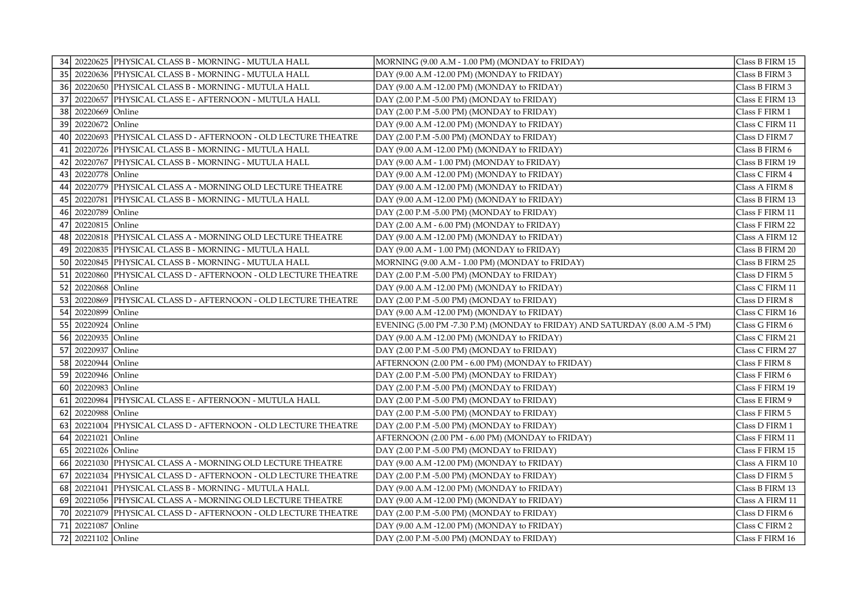|      |                    | 34 20220625 PHYSICAL CLASS B - MORNING - MUTULA HALL           | MORNING (9.00 A.M - 1.00 PM) (MONDAY to FRIDAY)                              | Class B FIRM 15 |
|------|--------------------|----------------------------------------------------------------|------------------------------------------------------------------------------|-----------------|
|      |                    | 35 20220636 PHYSICAL CLASS B - MORNING - MUTULA HALL           | DAY (9.00 A.M -12.00 PM) (MONDAY to FRIDAY)                                  | Class B FIRM 3  |
|      |                    | 36 20220650 PHYSICAL CLASS B - MORNING - MUTULA HALL           | DAY (9.00 A.M -12.00 PM) (MONDAY to FRIDAY)                                  | Class B FIRM 3  |
|      |                    | 37 20220657 PHYSICAL CLASS E - AFTERNOON - MUTULA HALL         | DAY (2.00 P.M -5.00 PM) (MONDAY to FRIDAY)                                   | Class E FIRM 13 |
|      | 38 20220669 Online |                                                                | DAY (2.00 P.M -5.00 PM) (MONDAY to FRIDAY)                                   | Class F FIRM 1  |
|      | 39 20220672 Online |                                                                | DAY (9.00 A.M -12.00 PM) (MONDAY to FRIDAY)                                  | Class C FIRM 11 |
|      |                    | 40 20220693 PHYSICAL CLASS D - AFTERNOON - OLD LECTURE THEATRE | DAY (2.00 P.M -5.00 PM) (MONDAY to FRIDAY)                                   | Class D FIRM 7  |
| 41   |                    | 20220726 PHYSICAL CLASS B - MORNING - MUTULA HALL              | DAY (9.00 A.M -12.00 PM) (MONDAY to FRIDAY)                                  | Class B FIRM 6  |
| 42   |                    | 20220767 PHYSICAL CLASS B - MORNING - MUTULA HALL              | DAY (9.00 A.M - 1.00 PM) (MONDAY to FRIDAY)                                  | Class B FIRM 19 |
| 43 I | 20220778 Online    |                                                                | DAY (9.00 A.M -12.00 PM) (MONDAY to FRIDAY)                                  | Class C FIRM 4  |
|      |                    | 44 20220779 PHYSICAL CLASS A - MORNING OLD LECTURE THEATRE     | DAY (9.00 A.M -12.00 PM) (MONDAY to FRIDAY)                                  | Class A FIRM 8  |
| 45 I |                    | 20220781 PHYSICAL CLASS B - MORNING - MUTULA HALL              | DAY (9.00 A.M -12.00 PM) (MONDAY to FRIDAY)                                  | Class B FIRM 13 |
|      | 46 20220789 Online |                                                                | DAY (2.00 P.M -5.00 PM) (MONDAY to FRIDAY)                                   | Class F FIRM 11 |
|      | 47 20220815 Online |                                                                | DAY (2.00 A.M - 6.00 PM) (MONDAY to FRIDAY)                                  | Class F FIRM 22 |
|      |                    | 48 20220818 PHYSICAL CLASS A - MORNING OLD LECTURE THEATRE     | DAY (9.00 A.M -12.00 PM) (MONDAY to FRIDAY)                                  | Class A FIRM 12 |
|      |                    | 49 20220835 PHYSICAL CLASS B - MORNING - MUTULA HALL           | DAY (9.00 A.M - 1.00 PM) (MONDAY to FRIDAY)                                  | Class B FIRM 20 |
|      |                    | 50 20220845 PHYSICAL CLASS B - MORNING - MUTULA HALL           | MORNING (9.00 A.M - 1.00 PM) (MONDAY to FRIDAY)                              | Class B FIRM 25 |
|      |                    | 51 20220860 PHYSICAL CLASS D - AFTERNOON - OLD LECTURE THEATRE | DAY (2.00 P.M -5.00 PM) (MONDAY to FRIDAY)                                   | Class D FIRM 5  |
|      | 52 20220868 Online |                                                                | DAY (9.00 A.M -12.00 PM) (MONDAY to FRIDAY)                                  | Class C FIRM 11 |
|      |                    | 53 20220869 PHYSICAL CLASS D - AFTERNOON - OLD LECTURE THEATRE | DAY (2.00 P.M -5.00 PM) (MONDAY to FRIDAY)                                   | Class D FIRM 8  |
|      | 54 20220899 Online |                                                                | DAY (9.00 A.M -12.00 PM) (MONDAY to FRIDAY)                                  | Class C FIRM 16 |
|      | 55 20220924 Online |                                                                | EVENING (5.00 PM -7.30 P.M) (MONDAY to FRIDAY) AND SATURDAY (8.00 A.M -5 PM) | Class G FIRM 6  |
| 56 l | 20220935 Online    |                                                                | DAY (9.00 A.M -12.00 PM) (MONDAY to FRIDAY)                                  | Class C FIRM 21 |
|      | 57 20220937 Online |                                                                | DAY (2.00 P.M -5.00 PM) (MONDAY to FRIDAY)                                   | Class C FIRM 27 |
|      | 58 20220944 Online |                                                                | AFTERNOON (2.00 PM - 6.00 PM) (MONDAY to FRIDAY)                             | Class F FIRM 8  |
|      | 59 20220946 Online |                                                                | DAY (2.00 P.M -5.00 PM) (MONDAY to FRIDAY)                                   | Class F FIRM 6  |
|      | 60 20220983 Online |                                                                | DAY (2.00 P.M -5.00 PM) (MONDAY to FRIDAY)                                   | Class F FIRM 19 |
|      |                    | 61 20220984 PHYSICAL CLASS E - AFTERNOON - MUTULA HALL         | DAY (2.00 P.M -5.00 PM) (MONDAY to FRIDAY)                                   | Class E FIRM 9  |
|      | 62 20220988 Online |                                                                | DAY (2.00 P.M -5.00 PM) (MONDAY to FRIDAY)                                   | Class F FIRM 5  |
|      |                    | 63 20221004 PHYSICAL CLASS D - AFTERNOON - OLD LECTURE THEATRE | DAY (2.00 P.M -5.00 PM) (MONDAY to FRIDAY)                                   | Class D FIRM 1  |
|      | 64 20221021 Online |                                                                | AFTERNOON (2.00 PM - 6.00 PM) (MONDAY to FRIDAY)                             | Class F FIRM 11 |
|      | 65 20221026 Online |                                                                | DAY (2.00 P.M -5.00 PM) (MONDAY to FRIDAY)                                   | Class F FIRM 15 |
|      |                    | 66 20221030 PHYSICAL CLASS A - MORNING OLD LECTURE THEATRE     | DAY (9.00 A.M -12.00 PM) (MONDAY to FRIDAY)                                  | Class A FIRM 10 |
|      |                    | 67 20221034 PHYSICAL CLASS D - AFTERNOON - OLD LECTURE THEATRE | DAY (2.00 P.M -5.00 PM) (MONDAY to FRIDAY)                                   | Class D FIRM 5  |
|      |                    | 68 20221041 PHYSICAL CLASS B - MORNING - MUTULA HALL           | DAY (9.00 A.M -12.00 PM) (MONDAY to FRIDAY)                                  | Class B FIRM 13 |
|      |                    | 69 20221056 PHYSICAL CLASS A - MORNING OLD LECTURE THEATRE     | DAY (9.00 A.M -12.00 PM) (MONDAY to FRIDAY)                                  | Class A FIRM 11 |
| 70 l |                    | 20221079 PHYSICAL CLASS D - AFTERNOON - OLD LECTURE THEATRE    | DAY (2.00 P.M -5.00 PM) (MONDAY to FRIDAY)                                   | Class D FIRM 6  |
| 71 I | 20221087 Online    |                                                                | DAY (9.00 A.M -12.00 PM) (MONDAY to FRIDAY)                                  | Class C FIRM 2  |
|      | 72 20221102 Online |                                                                | DAY (2.00 P.M -5.00 PM) (MONDAY to FRIDAY)                                   | Class F FIRM 16 |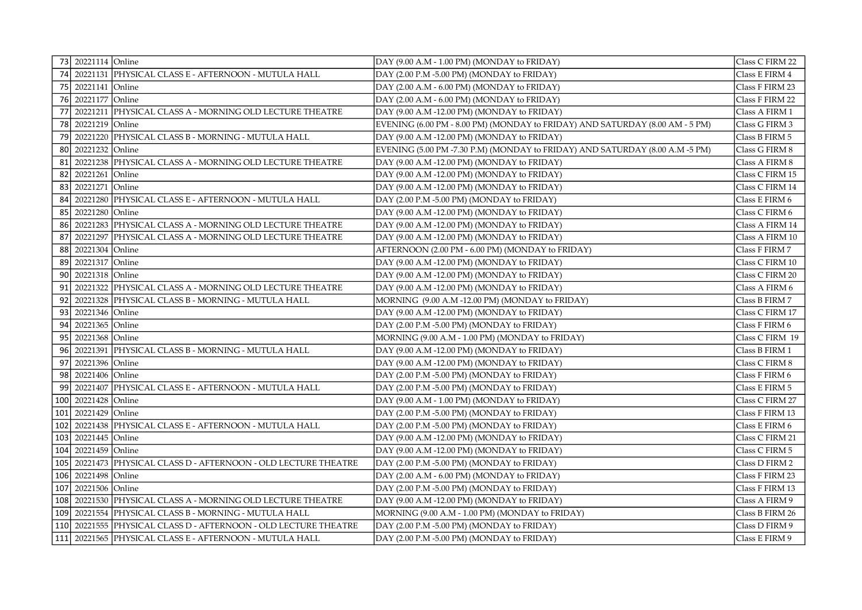|            | 73 20221114 Online  |                                                             | DAY (9.00 A.M - 1.00 PM) (MONDAY to FRIDAY)                                  | Class C FIRM 22 |
|------------|---------------------|-------------------------------------------------------------|------------------------------------------------------------------------------|-----------------|
|            |                     | 74 20221131 PHYSICAL CLASS E - AFTERNOON - MUTULA HALL      | DAY (2.00 P.M -5.00 PM) (MONDAY to FRIDAY)                                   | Class E FIRM 4  |
|            | 75 20221141 Online  |                                                             | DAY (2.00 A.M - 6.00 PM) (MONDAY to FRIDAY)                                  | Class F FIRM 23 |
|            | 76 20221177 Online  |                                                             | DAY (2.00 A.M - 6.00 PM) (MONDAY to FRIDAY)                                  | Class F FIRM 22 |
| 77         |                     | 20221211 PHYSICAL CLASS A - MORNING OLD LECTURE THEATRE     | DAY (9.00 A.M -12.00 PM) (MONDAY to FRIDAY)                                  | Class A FIRM 1  |
| 78 l       | 20221219 Online     |                                                             | EVENING (6.00 PM - 8.00 PM) (MONDAY to FRIDAY) AND SATURDAY (8.00 AM - 5 PM) | Class G FIRM 3  |
| 79         |                     | 20221220 PHYSICAL CLASS B - MORNING - MUTULA HALL           | DAY (9.00 A.M -12.00 PM) (MONDAY to FRIDAY)                                  | Class B FIRM 5  |
| 80 l       | 20221232 Online     |                                                             | EVENING (5.00 PM -7.30 P.M) (MONDAY to FRIDAY) AND SATURDAY (8.00 A.M -5 PM) | Class G FIRM 8  |
| 81         |                     | 20221238 PHYSICAL CLASS A - MORNING OLD LECTURE THEATRE     | DAY (9.00 A.M -12.00 PM) (MONDAY to FRIDAY)                                  | Class A FIRM 8  |
| 82         | 20221261 Online     |                                                             | DAY (9.00 A.M -12.00 PM) (MONDAY to FRIDAY)                                  | Class C FIRM 15 |
| 83         | 20221271 Online     |                                                             | DAY (9.00 A.M -12.00 PM) (MONDAY to FRIDAY)                                  | Class C FIRM 14 |
| 84         |                     | 20221280 PHYSICAL CLASS E - AFTERNOON - MUTULA HALL         | DAY (2.00 P.M -5.00 PM) (MONDAY to FRIDAY)                                   | Class E FIRM 6  |
| 85 l       | 20221280 Online     |                                                             | DAY (9.00 A.M -12.00 PM) (MONDAY to FRIDAY)                                  | Class C FIRM 6  |
| 86 l       |                     | 20221283 PHYSICAL CLASS A - MORNING OLD LECTURE THEATRE     | DAY (9.00 A.M -12.00 PM) (MONDAY to FRIDAY)                                  | Class A FIRM 14 |
| 87         |                     | 20221297 PHYSICAL CLASS A - MORNING OLD LECTURE THEATRE     | DAY (9.00 A.M -12.00 PM) (MONDAY to FRIDAY)                                  | Class A FIRM 10 |
| 88         | 20221304 Online     |                                                             | AFTERNOON (2.00 PM - 6.00 PM) (MONDAY to FRIDAY)                             | Class F FIRM 7  |
| 89         | 20221317 Online     |                                                             | DAY (9.00 A.M -12.00 PM) (MONDAY to FRIDAY)                                  | Class C FIRM 10 |
| 90 l       | 20221318 Online     |                                                             | DAY (9.00 A.M -12.00 PM) (MONDAY to FRIDAY)                                  | Class C FIRM 20 |
| 91         |                     | 20221322 PHYSICAL CLASS A - MORNING OLD LECTURE THEATRE     | DAY (9.00 A.M -12.00 PM) (MONDAY to FRIDAY)                                  | Class A FIRM 6  |
| 92         |                     | 20221328 PHYSICAL CLASS B - MORNING - MUTULA HALL           | MORNING (9.00 A.M -12.00 PM) (MONDAY to FRIDAY)                              | Class B FIRM 7  |
| 93         | 20221346 Online     |                                                             | DAY (9.00 A.M -12.00 PM) (MONDAY to FRIDAY)                                  | Class C FIRM 17 |
| 94         | 20221365 Online     |                                                             | DAY (2.00 P.M -5.00 PM) (MONDAY to FRIDAY)                                   | Class F FIRM 6  |
| 95 l       | 20221368 Online     |                                                             | MORNING (9.00 A.M - 1.00 PM) (MONDAY to FRIDAY)                              | Class C FIRM 19 |
| 96 l       |                     | 20221391 PHYSICAL CLASS B - MORNING - MUTULA HALL           | DAY (9.00 A.M -12.00 PM) (MONDAY to FRIDAY)                                  | Class B FIRM 1  |
| 97         | 20221396 Online     |                                                             | DAY (9.00 A.M -12.00 PM) (MONDAY to FRIDAY)                                  | Class C FIRM 8  |
| 98 l       | 20221406 Online     |                                                             | DAY (2.00 P.M -5.00 PM) (MONDAY to FRIDAY)                                   | Class F FIRM 6  |
| ا 99       |                     | 20221407 PHYSICAL CLASS E - AFTERNOON - MUTULA HALL         | DAY (2.00 P.M -5.00 PM) (MONDAY to FRIDAY)                                   | Class E FIRM 5  |
|            | 100 20221428 Online |                                                             | DAY (9.00 A.M - 1.00 PM) (MONDAY to FRIDAY)                                  | Class C FIRM 27 |
|            | 101 20221429 Online |                                                             | DAY (2.00 P.M -5.00 PM) (MONDAY to FRIDAY)                                   | Class F FIRM 13 |
| 102        |                     | 20221438 PHYSICAL CLASS E - AFTERNOON - MUTULA HALL         | DAY (2.00 P.M -5.00 PM) (MONDAY to FRIDAY)                                   | Class E FIRM 6  |
| 103        | 20221445 Online     |                                                             | DAY (9.00 A.M -12.00 PM) (MONDAY to FRIDAY)                                  | Class C FIRM 21 |
| 104        | 20221459 Online     |                                                             | DAY (9.00 A.M -12.00 PM) (MONDAY to FRIDAY)                                  | Class C FIRM 5  |
| 105        |                     | 20221473 PHYSICAL CLASS D - AFTERNOON - OLD LECTURE THEATRE | DAY (2.00 P.M -5.00 PM) (MONDAY to FRIDAY)                                   | Class D FIRM 2  |
| 106        | 20221498 Online     |                                                             | DAY (2.00 A.M - 6.00 PM) (MONDAY to FRIDAY)                                  | Class F FIRM 23 |
| 107        | 20221506 Online     |                                                             | DAY (2.00 P.M -5.00 PM) (MONDAY to FRIDAY)                                   | Class F FIRM 13 |
| 108        |                     | 20221530 PHYSICAL CLASS A - MORNING OLD LECTURE THEATRE     | DAY (9.00 A.M -12.00 PM) (MONDAY to FRIDAY)                                  | Class A FIRM 9  |
| 109        |                     | 20221554 PHYSICAL CLASS B - MORNING - MUTULA HALL           | MORNING (9.00 A.M - 1.00 PM) (MONDAY to FRIDAY)                              | Class B FIRM 26 |
| <b>110</b> |                     | 20221555 PHYSICAL CLASS D - AFTERNOON - OLD LECTURE THEATRE | DAY (2.00 P.M -5.00 PM) (MONDAY to FRIDAY)                                   | Class D FIRM 9  |
|            |                     | 111   20221565  PHYSICAL CLASS E - AFTERNOON - MUTULA HALL  | DAY (2.00 P.M -5.00 PM) (MONDAY to FRIDAY)                                   | Class E FIRM 9  |